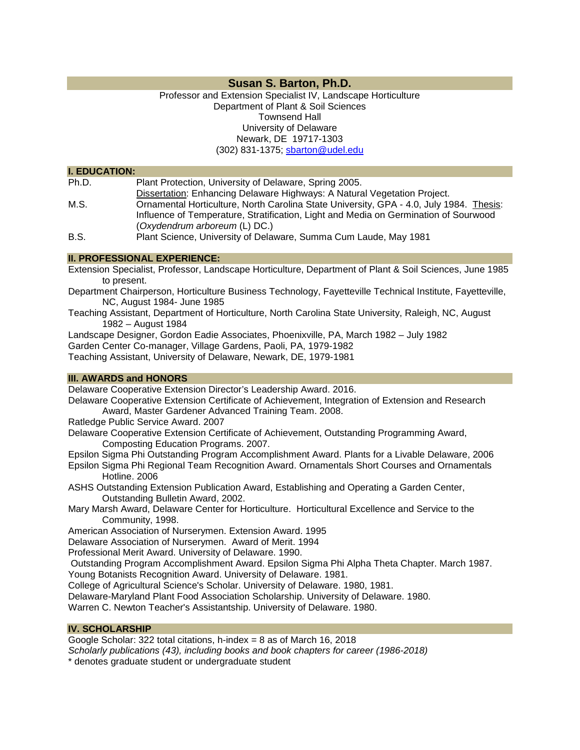# **Susan S. Barton, Ph.D.**

## Professor and Extension Specialist IV, Landscape Horticulture Department of Plant & Soil Sciences Townsend Hall University of Delaware Newark, DE 19717-1303 (302) 831-1375; [sbarton@udel.edu](mailto:sbarton@udel.edu)

#### **I. EDUCATION:**

| Ph.D.         | Plant Protection, University of Delaware, Spring 2005.                                  |
|---------------|-----------------------------------------------------------------------------------------|
|               | Dissertation: Enhancing Delaware Highways: A Natural Vegetation Project.                |
| M.S.          | Ornamental Horticulture, North Carolina State University, GPA - 4.0, July 1984. Thesis: |
|               | Influence of Temperature, Stratification, Light and Media on Germination of Sourwood    |
|               | (Oxydendrum arboreum (L) DC.)                                                           |
| $\sim$ $\sim$ | Dlaut Ostanica, Historiaetho af Dieleccentri Oringia, Oring Landa, Marc 4004            |

B.S. Plant Science, University of Delaware, Summa Cum Laude, May 1981

## **II. PROFESSIONAL EXPERIENCE:**

Extension Specialist, Professor, Landscape Horticulture, Department of Plant & Soil Sciences, June 1985 to present.

- Department Chairperson, Horticulture Business Technology, Fayetteville Technical Institute, Fayetteville, NC, August 1984- June 1985
- Teaching Assistant, Department of Horticulture, North Carolina State University, Raleigh, NC, August 1982 – August 1984

Landscape Designer, Gordon Eadie Associates, Phoenixville, PA, March 1982 – July 1982 Garden Center Co-manager, Village Gardens, Paoli, PA, 1979-1982

Teaching Assistant, University of Delaware, Newark, DE, 1979-1981

## **III. AWARDS and HONORS**

Delaware Cooperative Extension Director's Leadership Award. 2016.

Delaware Cooperative Extension Certificate of Achievement, Integration of Extension and Research Award, Master Gardener Advanced Training Team. 2008.

Ratledge Public Service Award. 2007

Delaware Cooperative Extension Certificate of Achievement, Outstanding Programming Award, Composting Education Programs. 2007.

Epsilon Sigma Phi Outstanding Program Accomplishment Award. Plants for a Livable Delaware, 2006

Epsilon Sigma Phi Regional Team Recognition Award. Ornamentals Short Courses and Ornamentals Hotline. 2006

ASHS Outstanding Extension Publication Award, Establishing and Operating a Garden Center, Outstanding Bulletin Award, 2002.

Mary Marsh Award, Delaware Center for Horticulture. Horticultural Excellence and Service to the Community, 1998.

American Association of Nurserymen. Extension Award. 1995

Delaware Association of Nurserymen. Award of Merit. 1994

Professional Merit Award. University of Delaware. 1990.

Outstanding Program Accomplishment Award. Epsilon Sigma Phi Alpha Theta Chapter. March 1987.

Young Botanists Recognition Award. University of Delaware. 1981.

College of Agricultural Science's Scholar. University of Delaware. 1980, 1981.

Delaware-Maryland Plant Food Association Scholarship. University of Delaware. 1980.

Warren C. Newton Teacher's Assistantship. University of Delaware. 1980.

## **IV. SCHOLARSHIP**

Google Scholar: 322 total citations, h-index = 8 as of March 16, 2018

*Scholarly publications (43), including books and book chapters for career (1986-2018)*

\* denotes graduate student or undergraduate student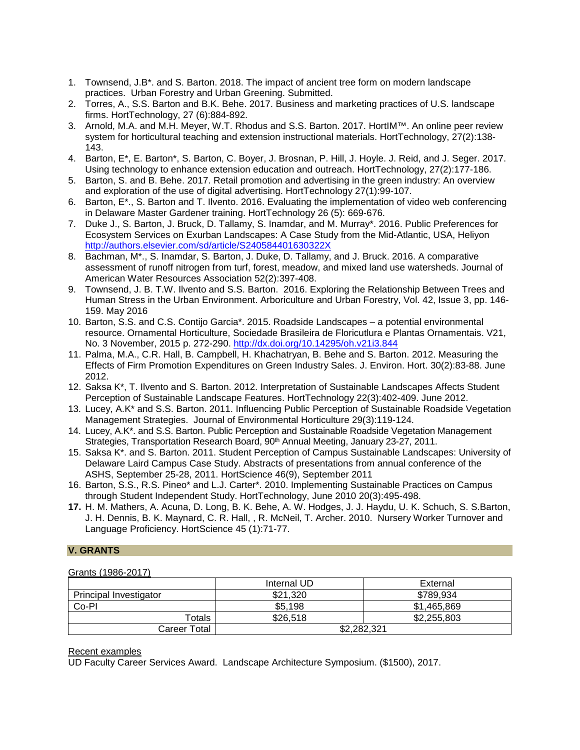- 1. Townsend, J.B\*. and S. Barton. 2018. The impact of ancient tree form on modern landscape practices. Urban Forestry and Urban Greening. Submitted.
- 2. Torres, A., S.S. Barton and B.K. Behe. 2017. Business and marketing practices of U.S. landscape firms. HortTechnology, 27 (6):884-892.
- 3. Arnold, M.A. and M.H. Meyer, W.T. Rhodus and S.S. Barton. 2017. HortIM™. An online peer review system for horticultural teaching and extension instructional materials. HortTechnology, 27(2):138-143.
- 4. Barton, E\*, E. Barton\*, S. Barton, C. Boyer, J. Brosnan, P. Hill, J. Hoyle. J. Reid, and J. Seger. 2017. Using technology to enhance extension education and outreach. HortTechnology, 27(2):177-186.
- 5. Barton, S. and B. Behe. 2017. Retail promotion and advertising in the green industry: An overview and exploration of the use of digital advertising. HortTechnology 27(1):99-107.
- 6. Barton, E\*., S. Barton and T. Ilvento. 2016. Evaluating the implementation of video web conferencing in Delaware Master Gardener training. HortTechnology 26 (5): 669-676.
- 7. Duke J., S. Barton, J. Bruck, D. Tallamy, S. Inamdar, and M. Murray\*. 2016. Public Preferences for Ecosystem Services on Exurban Landscapes: A Case Study from the Mid-Atlantic, USA, Heliyon <http://authors.elsevier.com/sd/article/S240584401630322X>
- 8. Bachman, M\*., S. Inamdar, S. Barton, J. Duke, D. Tallamy, and J. Bruck. 2016. A comparative assessment of runoff nitrogen from turf, forest, meadow, and mixed land use watersheds. Journal of American Water Resources Association 52(2):397-408.
- 9. Townsend, J. B. T.W. Ilvento and S.S. Barton. 2016. Exploring the Relationship Between Trees and Human Stress in the Urban Environment. Arboriculture and Urban Forestry, Vol. 42, Issue 3, pp. 146- 159. May 2016
- 10. Barton, S.S. and C.S. Contijo Garcia\*. 2015. Roadside Landscapes a potential environmental resource. Ornamental Horticulture, Sociedade Brasileira de Floricutlura e Plantas Ornamentais. V21, No. 3 November, 2015 p. 272-290.<http://dx.doi.org/10.14295/oh.v21i3.844>
- 11. Palma, M.A., C.R. Hall, B. Campbell, H. Khachatryan, B. Behe and S. Barton. 2012. Measuring the Effects of Firm Promotion Expenditures on Green Industry Sales. J. Environ. Hort. 30(2):83-88. June 2012.
- 12. Saksa K\*, T. Ilvento and S. Barton. 2012. Interpretation of Sustainable Landscapes Affects Student Perception of Sustainable Landscape Features. HortTechnology 22(3):402-409. June 2012.
- 13. Lucey, A.K\* and S.S. Barton. 2011. Influencing Public Perception of Sustainable Roadside Vegetation Management Strategies. Journal of Environmental Horticulture 29(3):119-124.
- 14. Lucey, A.K\*. and S.S. Barton. Public Perception and Sustainable Roadside Vegetation Management Strategies, Transportation Research Board, 90<sup>th</sup> Annual Meeting, January 23-27, 2011.
- 15. Saksa K\*. and S. Barton. 2011. Student Perception of Campus Sustainable Landscapes: University of Delaware Laird Campus Case Study. Abstracts of presentations from annual conference of the ASHS, September 25-28, 2011. HortScience 46(9), September 2011
- 16. Barton, S.S., R.S. Pineo\* and L.J. Carter\*. 2010. Implementing Sustainable Practices on Campus through Student Independent Study. HortTechnology, June 2010 20(3):495-498.
- **17.** H. M. Mathers, A. Acuna, D. Long, B. K. Behe, A. W. Hodges, J. J. Haydu, U. K. Schuch, S. S.Barton, J. H. Dennis, B. K. Maynard, C. R. Hall, , R. McNeil, T. Archer. 2010. Nursery Worker Turnover and Language Proficiency. HortScience 45 (1):71-77.

## **V. GRANTS**

## Grants (1986-2017)

|                        | Internal UD | External    |
|------------------------|-------------|-------------|
| Principal Investigator | \$21,320    | \$789,934   |
| Co-PI                  | \$5,198     | \$1,465,869 |
| Totals                 | \$26,518    | \$2,255,803 |
| Career Total           | \$2,282,321 |             |

Recent examples

UD Faculty Career Services Award. Landscape Architecture Symposium. (\$1500), 2017.